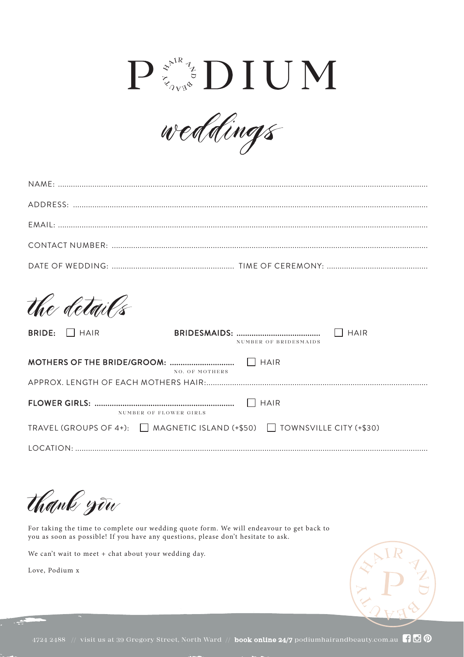## $\mathbf{P} \stackrel{\mathcal{Z}^{\mathrm{NRS}}}{\mathcal{Z}_{\mathrm{VRS}}} \mathbf{D}\mathbf{I}\mathbf{U}\mathbf{M}$



| the details                           |                                                                                      |             |  |  |
|---------------------------------------|--------------------------------------------------------------------------------------|-------------|--|--|
| $\vert$ $\vert$ HAIR<br><b>BRIDE:</b> | NUMBER OF BRIDESMAIDS                                                                | <b>HAIR</b> |  |  |
| <b>HAIR</b><br>NO. OF MOTHERS         |                                                                                      |             |  |  |
| NUMBER OF FLOWER GIRLS                | <b>HAIR</b>                                                                          |             |  |  |
|                                       | TRAVEL (GROUPS OF 4+): $\Box$ MAGNETIC ISLAND (+\$50) $\Box$ TOWNSVILLE CITY (+\$30) |             |  |  |
|                                       |                                                                                      |             |  |  |

*thank you*

For taking the time to complete our wedding quote form. We will endeavour to get back to you as soon as possible! If you have any questions, please don't hesitate to ask.

We can't wait to meet + chat about your wedding day.

Love, Podium x